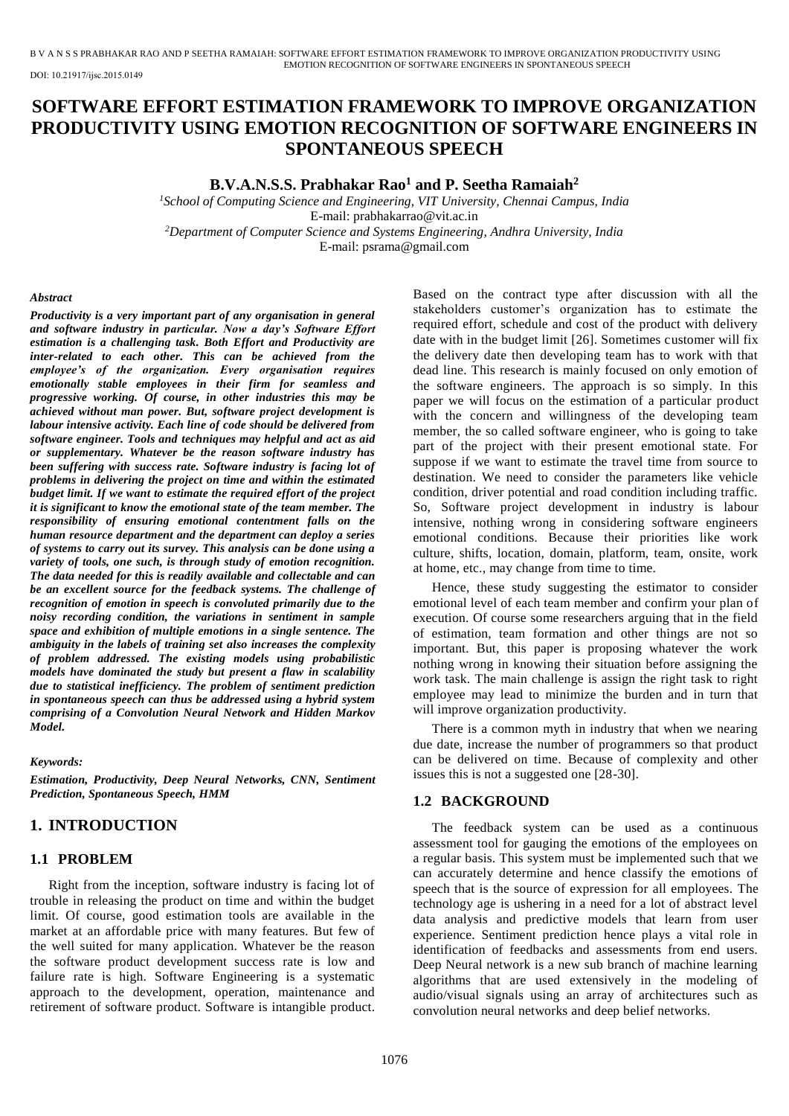DOI: 10.21917/ijsc.2015.0149

# **SOFTWARE EFFORT ESTIMATION FRAMEWORK TO IMPROVE ORGANIZATION PRODUCTIVITY USING EMOTION RECOGNITION OF SOFTWARE ENGINEERS IN SPONTANEOUS SPEECH**

### **B.V.A.N.S.S. Prabhakar Rao<sup>1</sup> and P. Seetha Ramaiah<sup>2</sup>**

*<sup>1</sup>School of Computing Science and Engineering, VIT University, Chennai Campus, India*  E-mail: prabhakarrao@vit.ac.in *<sup>2</sup>Department of Computer Science and Systems Engineering, Andhra University, India*  E-mail[: psrama@gmail.com](mailto:psrama@gmail.com)

#### *Abstract*

*Productivity is a very important part of any organisation in general and software industry in particular. Now a day's Software Effort estimation is a challenging task. Both Effort and Productivity are inter-related to each other. This can be achieved from the employee's of the organization. Every organisation requires emotionally stable employees in their firm for seamless and progressive working. Of course, in other industries this may be achieved without man power. But, software project development is labour intensive activity. Each line of code should be delivered from software engineer. Tools and techniques may helpful and act as aid or supplementary. Whatever be the reason software industry has been suffering with success rate. Software industry is facing lot of problems in delivering the project on time and within the estimated budget limit. If we want to estimate the required effort of the project it is significant to know the emotional state of the team member. The responsibility of ensuring emotional contentment falls on the human resource department and the department can deploy a series of systems to carry out its survey. This analysis can be done using a variety of tools, one such, is through study of emotion recognition. The data needed for this is readily available and collectable and can be an excellent source for the feedback systems. The challenge of recognition of emotion in speech is convoluted primarily due to the noisy recording condition, the variations in sentiment in sample space and exhibition of multiple emotions in a single sentence. The ambiguity in the labels of training set also increases the complexity of problem addressed. The existing models using probabilistic models have dominated the study but present a flaw in scalability due to statistical inefficiency. The problem of sentiment prediction in spontaneous speech can thus be addressed using a hybrid system comprising of a Convolution Neural Network and Hidden Markov Model.* 

#### *Keywords:*

*Estimation, Productivity, Deep Neural Networks, CNN, Sentiment Prediction, Spontaneous Speech, HMM* 

## **1. INTRODUCTION**

### **1.1 PROBLEM**

Right from the inception, software industry is facing lot of trouble in releasing the product on time and within the budget limit. Of course, good estimation tools are available in the market at an affordable price with many features. But few of the well suited for many application. Whatever be the reason the software product development success rate is low and failure rate is high. Software Engineering is a systematic approach to the development, operation, maintenance and retirement of software product. Software is intangible product.

Based on the contract type after discussion with all the stakeholders customer's organization has to estimate the required effort, schedule and cost of the product with delivery date with in the budget limit [26]. Sometimes customer will fix the delivery date then developing team has to work with that dead line. This research is mainly focused on only emotion of the software engineers. The approach is so simply. In this paper we will focus on the estimation of a particular product with the concern and willingness of the developing team member, the so called software engineer, who is going to take part of the project with their present emotional state. For suppose if we want to estimate the travel time from source to destination. We need to consider the parameters like vehicle condition, driver potential and road condition including traffic. So, Software project development in industry is labour intensive, nothing wrong in considering software engineers emotional conditions. Because their priorities like work culture, shifts, location, domain, platform, team, onsite, work at home, etc., may change from time to time.

Hence, these study suggesting the estimator to consider emotional level of each team member and confirm your plan of execution. Of course some researchers arguing that in the field of estimation, team formation and other things are not so important. But, this paper is proposing whatever the work nothing wrong in knowing their situation before assigning the work task. The main challenge is assign the right task to right employee may lead to minimize the burden and in turn that will improve organization productivity.

There is a common myth in industry that when we nearing due date, increase the number of programmers so that product can be delivered on time. Because of complexity and other issues this is not a suggested one [28-30].

### **1.2 BACKGROUND**

The feedback system can be used as a continuous assessment tool for gauging the emotions of the employees on a regular basis. This system must be implemented such that we can accurately determine and hence classify the emotions of speech that is the source of expression for all employees. The technology age is ushering in a need for a lot of abstract level data analysis and predictive models that learn from user experience. Sentiment prediction hence plays a vital role in identification of feedbacks and assessments from end users. Deep Neural network is a new sub branch of machine learning algorithms that are used extensively in the modeling of audio/visual signals using an array of architectures such as convolution neural networks and deep belief networks.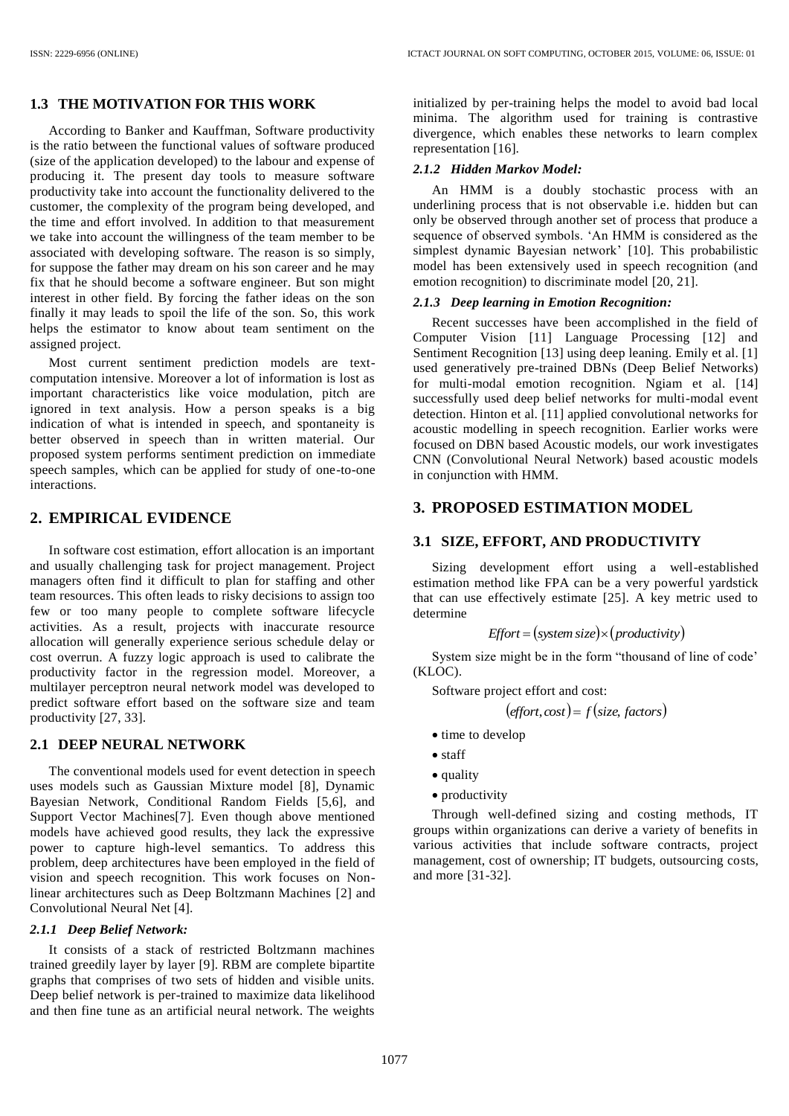### **1.3 THE MOTIVATION FOR THIS WORK**

According to Banker and Kauffman, Software productivity is the ratio between the functional values of software produced (size of the application developed) to the labour and expense of producing it. The present day tools to measure software productivity take into account the functionality delivered to the customer, the complexity of the program being developed, and the time and effort involved. In addition to that measurement we take into account the willingness of the team member to be associated with developing software. The reason is so simply, for suppose the father may dream on his son career and he may fix that he should become a software engineer. But son might interest in other field. By forcing the father ideas on the son finally it may leads to spoil the life of the son. So, this work helps the estimator to know about team sentiment on the assigned project.

Most current sentiment prediction models are textcomputation intensive. Moreover a lot of information is lost as important characteristics like voice modulation, pitch are ignored in text analysis. How a person speaks is a big indication of what is intended in speech, and spontaneity is better observed in speech than in written material. Our proposed system performs sentiment prediction on immediate speech samples, which can be applied for study of one-to-one interactions.

### **2. EMPIRICAL EVIDENCE**

In software cost estimation, effort allocation is an important and usually challenging task for project management. Project managers often find it difficult to plan for staffing and other team resources. This often leads to risky decisions to assign too few or too many people to complete software lifecycle activities. As a result, projects with inaccurate resource allocation will generally experience serious schedule delay or cost overrun. A fuzzy logic approach is used to calibrate the productivity factor in the regression model. Moreover, a multilayer perceptron neural network model was developed to predict software effort based on the software size and team productivity [27, 33].

### **2.1 DEEP NEURAL NETWORK**

The conventional models used for event detection in speech uses models such as Gaussian Mixture model [8], Dynamic Bayesian Network, Conditional Random Fields [5,6], and Support Vector Machines[7]. Even though above mentioned models have achieved good results, they lack the expressive power to capture high-level semantics. To address this problem, deep architectures have been employed in the field of vision and speech recognition. This work focuses on Nonlinear architectures such as Deep Boltzmann Machines [2] and Convolutional Neural Net [4].

#### *2.1.1 Deep Belief Network:*

It consists of a stack of restricted Boltzmann machines trained greedily layer by layer [9]. RBM are complete bipartite graphs that comprises of two sets of hidden and visible units. Deep belief network is per-trained to maximize data likelihood and then fine tune as an artificial neural network. The weights initialized by per-training helps the model to avoid bad local minima. The algorithm used for training is contrastive divergence, which enables these networks to learn complex representation [16].

### *2.1.2 Hidden Markov Model:*

An HMM is a doubly stochastic process with an underlining process that is not observable i.e. hidden but can only be observed through another set of process that produce a sequence of observed symbols. 'An HMM is considered as the simplest dynamic Bayesian network' [10]. This probabilistic model has been extensively used in speech recognition (and emotion recognition) to discriminate model [20, 21].

#### *2.1.3 Deep learning in Emotion Recognition:*

Recent successes have been accomplished in the field of Computer Vision [11] Language Processing [12] and Sentiment Recognition [13] using deep leaning. Emily et al. [1] used generatively pre-trained DBNs (Deep Belief Networks) for multi-modal emotion recognition. Ngiam et al. [14] successfully used deep belief networks for multi-modal event detection. Hinton et al. [11] applied convolutional networks for acoustic modelling in speech recognition. Earlier works were focused on DBN based Acoustic models, our work investigates CNN (Convolutional Neural Network) based acoustic models in conjunction with HMM.

### **3. PROPOSED ESTIMATION MODEL**

#### **3.1 SIZE, EFFORT, AND PRODUCTIVITY**

Sizing development effort using a well-established estimation method like FPA can be a very powerful yardstick that can use effectively estimate [25]. A key metric used to determine

$$
Effort = (system size) \times (productivity)
$$

System size might be in the form "thousand of line of code' (KLOC).

Software project effort and cost:

$$
(\text{effort}, \text{cost}) = f(\text{size}, \text{factors})
$$

- time to develop
- staff
- quality
- productivity

Through well-defined sizing and costing methods, IT groups within organizations can derive a variety of benefits in various activities that include software contracts, project management, cost of ownership; IT budgets, outsourcing costs, and more [31-32].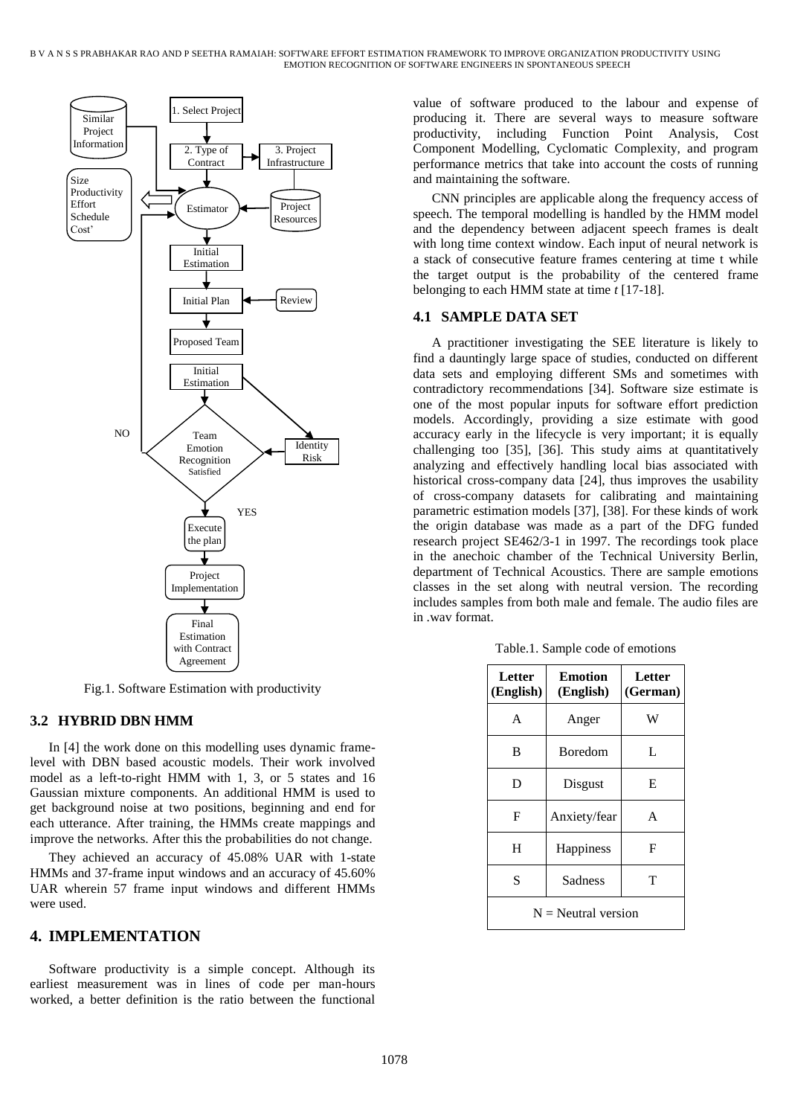

Fig.1. Software Estimation with productivity

### **3.2 HYBRID DBN HMM**

In [4] the work done on this modelling uses dynamic framelevel with DBN based acoustic models. Their work involved model as a left-to-right HMM with 1, 3, or 5 states and 16 Gaussian mixture components. An additional HMM is used to get background noise at two positions, beginning and end for each utterance. After training, the HMMs create mappings and improve the networks. After this the probabilities do not change.

They achieved an accuracy of 45.08% UAR with 1-state HMMs and 37-frame input windows and an accuracy of 45.60% UAR wherein 57 frame input windows and different HMMs were used.

### **4. IMPLEMENTATION**

Software productivity is a simple concept. Although its earliest measurement was in lines of code per man-hours worked, a better definition is the ratio between the functional

value of software produced to the labour and expense of producing it. There are several ways to measure software productivity, including Function Point Analysis, Cost Component Modelling, Cyclomatic Complexity, and program performance metrics that take into account the costs of running and maintaining the software.

CNN principles are applicable along the frequency access of speech. The temporal modelling is handled by the HMM model and the dependency between adjacent speech frames is dealt with long time context window. Each input of neural network is a stack of consecutive feature frames centering at time t while the target output is the probability of the centered frame belonging to each HMM state at time *t* [17-18].

### **4.1 SAMPLE DATA SET**

A practitioner investigating the SEE literature is likely to find a dauntingly large space of studies, conducted on different data sets and employing different SMs and sometimes with contradictory recommendations [34]. Software size estimate is one of the most popular inputs for software effort prediction models. Accordingly, providing a size estimate with good accuracy early in the lifecycle is very important; it is equally challenging too [35], [36]. This study aims at quantitatively analyzing and effectively handling local bias associated with historical cross-company data [24], thus improves the usability of cross-company datasets for calibrating and maintaining parametric estimation models [37], [38]. For these kinds of work the origin database was made as a part of the DFG funded research project SE462/3-1 in 1997. The recordings took place in the anechoic chamber of the Technical University Berlin, department of Technical Acoustics. There are sample emotions classes in the set along with neutral version. The recording includes samples from both male and female. The audio files are in way format.

| Letter<br>(English)   | <b>Emotion</b><br>(English) | <b>Letter</b><br>(German) |  |  |
|-----------------------|-----------------------------|---------------------------|--|--|
| A                     | Anger                       | W                         |  |  |
| B                     | <b>Boredom</b>              | L                         |  |  |
| D                     | Disgust                     | Е                         |  |  |
| F                     | Anxiety/fear                | A                         |  |  |
| H                     | Happiness                   | F                         |  |  |
| S                     | Sadness                     | т                         |  |  |
| $N =$ Neutral version |                             |                           |  |  |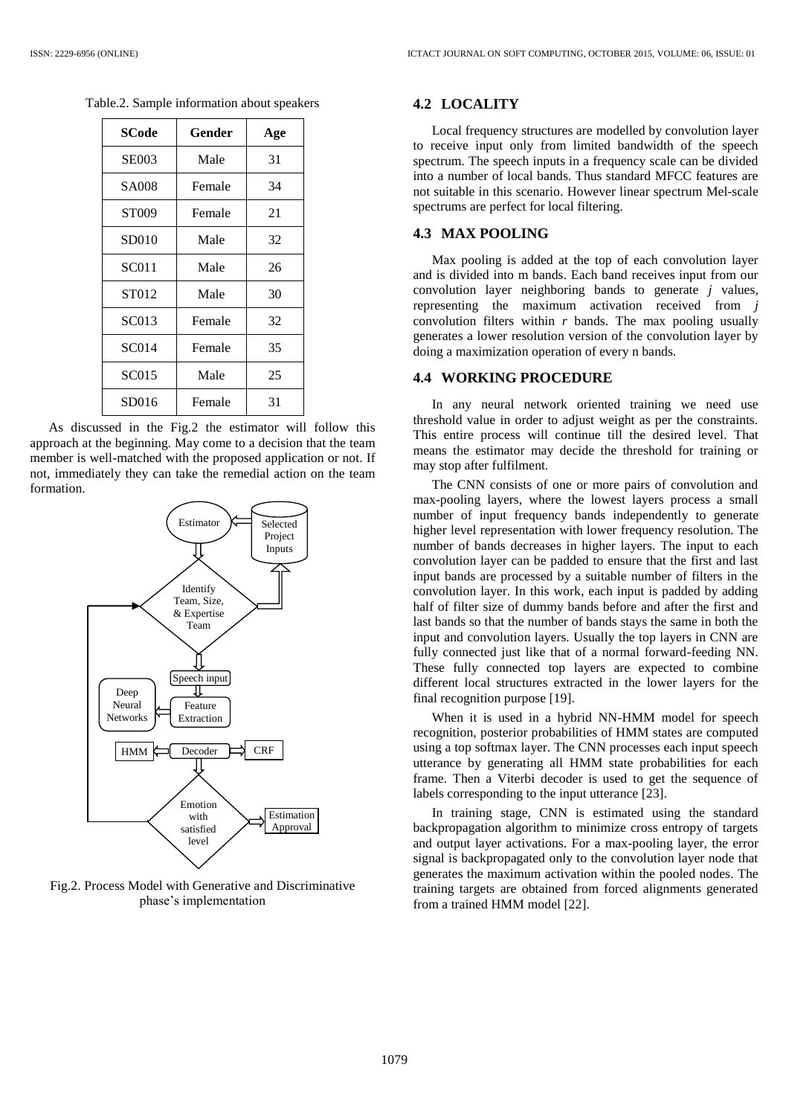| SCode        | Gender | Age |
|--------------|--------|-----|
| <b>SE003</b> | Male   | 31  |
| SA008        | Female | 34  |
| ST009        | Female | 21  |
| SD010        | Male   | 32  |
| <b>SC011</b> | Male   | 26  |
| ST012        | Male   | 30  |
| SC013        | Female | 32  |
| <b>SC014</b> | Female | 35  |
| SC015        | Male   | 25  |
| SD016        | Female | 31  |

Table.2. Sample information about speakers

As discussed in the Fig.2 the estimator will follow this approach at the beginning. May come to a decision that the team member is well-matched with the proposed application or not. If not, immediately they can take the remedial action on the team formation.



Fig.2. Process Model with Generative and Discriminative phase's implementation

#### **4.2 LOCALITY**

Local frequency structures are modelled by convolution layer to receive input only from limited bandwidth of the speech spectrum. The speech inputs in a frequency scale can be divided into a number of local bands. Thus standard MFCC features are not suitable in this scenario. However linear spectrum Mel-scale spectrums are perfect for local filtering.

### **4.3 MAX POOLING**

Max pooling is added at the top of each convolution layer and is divided into m bands. Each band receives input from our convolution layer neighboring bands to generate *j* values, representing the maximum activation received from *j* convolution filters within *r* bands. The max pooling usually generates a lower resolution version of the convolution layer by doing a maximization operation of every n bands.

#### **4.4 WORKING PROCEDURE**

In any neural network oriented training we need use threshold value in order to adjust weight as per the constraints. This entire process will continue till the desired level. That means the estimator may decide the threshold for training or may stop after fulfilment.

The CNN consists of one or more pairs of convolution and max-pooling layers, where the lowest layers process a small number of input frequency bands independently to generate higher level representation with lower frequency resolution. The number of bands decreases in higher layers. The input to each convolution layer can be padded to ensure that the first and last input bands are processed by a suitable number of filters in the convolution layer. In this work, each input is padded by adding half of filter size of dummy bands before and after the first and last bands so that the number of bands stays the same in both the input and convolution layers. Usually the top layers in CNN are fully connected just like that of a normal forward-feeding NN. These fully connected top layers are expected to combine different local structures extracted in the lower layers for the final recognition purpose [19].

When it is used in a hybrid NN-HMM model for speech recognition, posterior probabilities of HMM states are computed using a top softmax layer. The CNN processes each input speech utterance by generating all HMM state probabilities for each frame. Then a Viterbi decoder is used to get the sequence of labels corresponding to the input utterance [23].

In training stage, CNN is estimated using the standard backpropagation algorithm to minimize cross entropy of targets and output layer activations. For a max-pooling layer, the error signal is backpropagated only to the convolution layer node that generates the maximum activation within the pooled nodes. The training targets are obtained from forced alignments generated from a trained HMM model [22].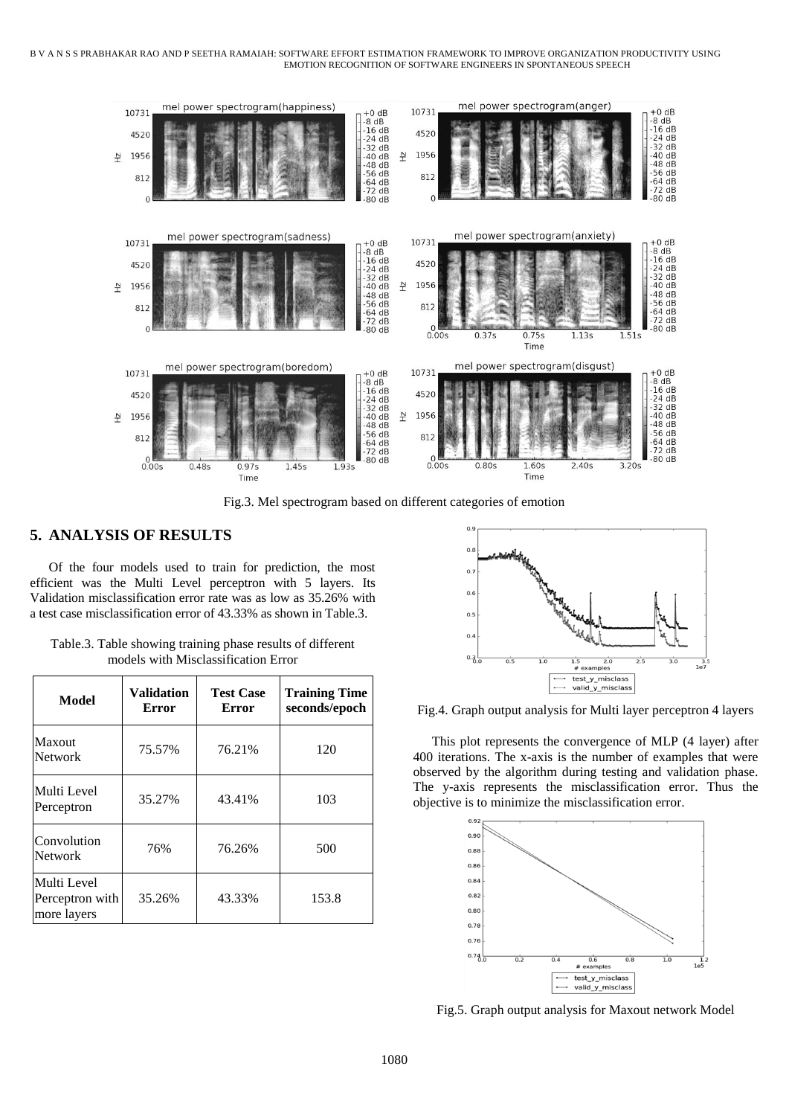#### B V A N S S PRABHAKAR RAO AND P SEETHA RAMAIAH: SOFTWARE EFFORT ESTIMATION FRAMEWORK TO IMPROVE ORGANIZATION PRODUCTIVITY USING EMOTION RECOGNITION OF SOFTWARE ENGINEERS IN SPONTANEOUS SPEECH



Fig.3. Mel spectrogram based on different categories of emotion

### **5. ANALYSIS OF RESULTS**

Of the four models used to train for prediction, the most efficient was the Multi Level perceptron with 5 layers. Its Validation misclassification error rate was as low as 35.26% with a test case misclassification error of 43.33% as shown in Table.3.

| Model                                         | <b>Validation</b><br>Error | <b>Test Case</b><br><b>Error</b> | <b>Training Time</b><br>seconds/epoch |
|-----------------------------------------------|----------------------------|----------------------------------|---------------------------------------|
| Maxout<br><b>Network</b>                      | 75.57%                     | 76.21%                           | 120                                   |
| Multi Level<br>Perceptron                     | 35.27%                     | 43.41%                           | 103                                   |
| Convolution<br>Network                        | 76%                        | 76.26%                           | 500                                   |
| Multi Level<br>Perceptron with<br>more layers | 35.26%                     | 43.33%                           | 153.8                                 |

Table.3. Table showing training phase results of different models with Misclassification Error



Fig.4. Graph output analysis for Multi layer perceptron 4 layers

This plot represents the convergence of MLP (4 layer) after 400 iterations. The x-axis is the number of examples that were observed by the algorithm during testing and validation phase. The y-axis represents the misclassification error. Thus the objective is to minimize the misclassification error.



Fig.5. Graph output analysis for Maxout network Model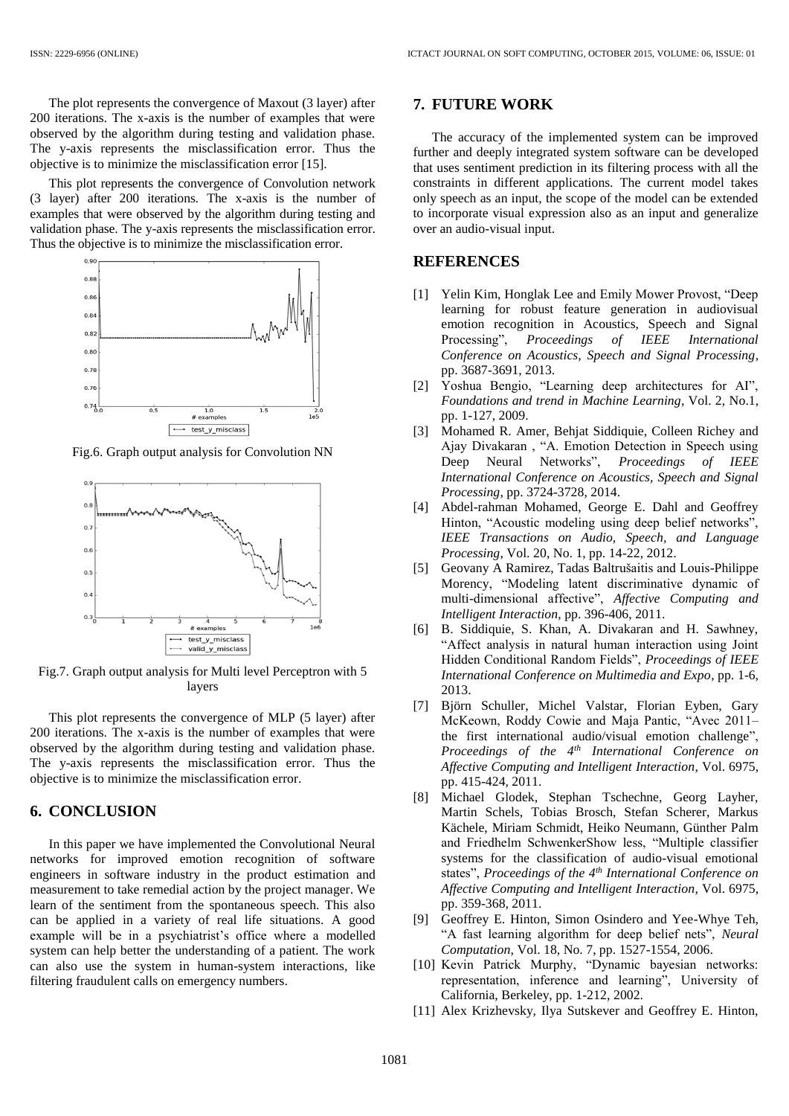The plot represents the convergence of Maxout (3 layer) after 200 iterations. The x-axis is the number of examples that were observed by the algorithm during testing and validation phase. The y-axis represents the misclassification error. Thus the objective is to minimize the misclassification error [15].

This plot represents the convergence of Convolution network (3 layer) after 200 iterations. The x-axis is the number of examples that were observed by the algorithm during testing and validation phase. The y-axis represents the misclassification error. Thus the objective is to minimize the misclassification error.



Fig.6. Graph output analysis for Convolution NN



Fig.7. Graph output analysis for Multi level Perceptron with 5 layers

This plot represents the convergence of MLP (5 layer) after 200 iterations. The x-axis is the number of examples that were observed by the algorithm during testing and validation phase. The y-axis represents the misclassification error. Thus the objective is to minimize the misclassification error.

### **6. CONCLUSION**

In this paper we have implemented the Convolutional Neural networks for improved emotion recognition of software engineers in software industry in the product estimation and measurement to take remedial action by the project manager. We learn of the sentiment from the spontaneous speech. This also can be applied in a variety of real life situations. A good example will be in a psychiatrist's office where a modelled system can help better the understanding of a patient. The work can also use the system in human-system interactions, like filtering fraudulent calls on emergency numbers.

#### **7. FUTURE WORK**

The accuracy of the implemented system can be improved further and deeply integrated system software can be developed that uses sentiment prediction in its filtering process with all the constraints in different applications. The current model takes only speech as an input, the scope of the model can be extended to incorporate visual expression also as an input and generalize over an audio-visual input.

### **REFERENCES**

- [1] Yelin Kim, Honglak Lee and Emily Mower Provost, "Deep learning for robust feature generation in audiovisual emotion recognition in Acoustics, Speech and Signal Processing", *Proceedings of IEEE International Conference on Acoustics, Speech and Signal Processing*, pp. 3687-3691, 2013.
- [2] Yoshua Bengio, "Learning deep architectures for AI", *Foundations and trend in Machine Learning*, Vol. 2, No.1, pp. 1-127, 2009.
- [3] Mohamed R. Amer, Behjat Siddiquie, Colleen Richey and Ajay Divakaran , "A. Emotion Detection in Speech using Deep Neural Networks", *Proceedings of IEEE International Conference on Acoustics, Speech and Signal Processing*, pp. 3724-3728, 2014.
- [4] Abdel-rahman Mohamed, George E. Dahl and Geoffrey Hinton, "Acoustic modeling using deep belief networks", *IEEE Transactions on Audio, Speech, and Language Processing*, Vol. 20, No. 1, pp. 14-22, 2012.
- [5] Geovany A Ramirez, Tadas Baltrušaitis and Louis-Philippe Morency, "Modeling latent discriminative dynamic of multi-dimensional affective", *Affective Computing and Intelligent Interaction*, pp. 396-406, 2011.
- [6] B. Siddiquie, S. Khan, A. Divakaran and H. Sawhney, "Affect analysis in natural human interaction using Joint Hidden Conditional Random Fields", *Proceedings of IEEE International Conference on Multimedia and Expo*, pp. 1-6, 2013.
- [7] Björn Schuller, Michel Valstar, Florian Eyben, Gary McKeown, Roddy Cowie and Maja Pantic, "Avec 2011– the first international audio/visual emotion challenge", *Proceedings of the 4th International Conference on Affective Computing and Intelligent Interaction*, Vol. 6975, pp. 415-424, 2011.
- [8] Michael Glodek, Stephan Tschechne, Georg Layher, Martin Schels, Tobias Brosch, Stefan Scherer, Markus Kächele, Miriam Schmidt, Heiko Neumann, Günther Palm and Friedhelm SchwenkerShow less, "Multiple classifier systems for the classification of audio-visual emotional states", *Proceedings of the 4th International Conference on Affective Computing and Intelligent Interaction*, Vol. 6975, pp. 359-368, 2011.
- [9] Geoffrey E. Hinton, Simon Osindero and Yee-Whye Teh, "A fast learning algorithm for deep belief nets", *Neural Computation*, Vol. 18, No. 7, pp. 1527-1554, 2006.
- [10] Kevin Patrick Murphy, "Dynamic bayesian networks: representation, inference and learning", University of California, Berkeley, pp. 1-212, 2002.
- [11] Alex Krizhevsky, Ilya Sutskever and Geoffrey E. Hinton,